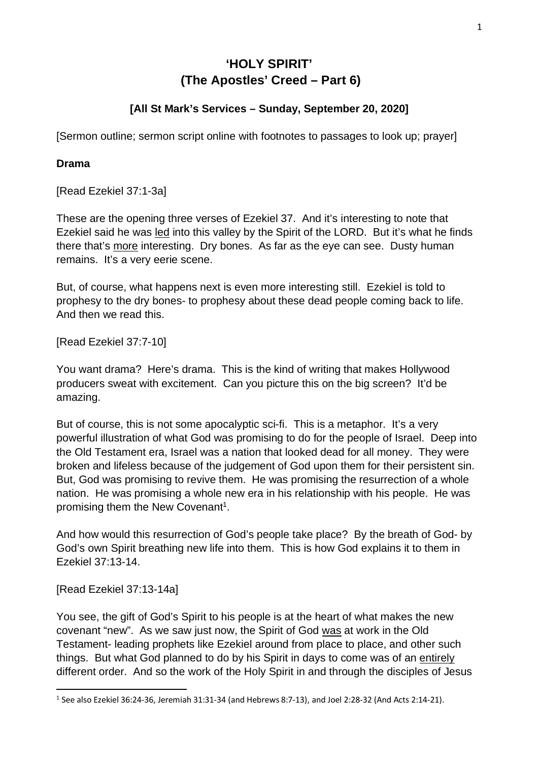# **'HOLY SPIRIT' (The Apostles' Creed – Part 6)**

### **[All St Mark's Services – Sunday, September 20, 2020]**

[Sermon outline; sermon script online with footnotes to passages to look up; prayer]

#### **Drama**

[Read Ezekiel 37:1-3a]

These are the opening three verses of Ezekiel 37. And it's interesting to note that Ezekiel said he was led into this valley by the Spirit of the LORD. But it's what he finds there that's more interesting. Dry bones. As far as the eye can see. Dusty human remains. It's a very eerie scene.

But, of course, what happens next is even more interesting still. Ezekiel is told to prophesy to the dry bones- to prophesy about these dead people coming back to life. And then we read this.

[Read Ezekiel 37:7-10]

You want drama? Here's drama. This is the kind of writing that makes Hollywood producers sweat with excitement. Can you picture this on the big screen? It'd be amazing.

But of course, this is not some apocalyptic sci-fi. This is a metaphor. It's a very powerful illustration of what God was promising to do for the people of Israel. Deep into the Old Testament era, Israel was a nation that looked dead for all money. They were broken and lifeless because of the judgement of God upon them for their persistent sin. But, God was promising to revive them. He was promising the resurrection of a whole nation. He was promising a whole new era in his relationship with his people. He was promising them the New Covenant<sup>1</sup>.

And how would this resurrection of God's people take place? By the breath of God- by God's own Spirit breathing new life into them. This is how God explains it to them in Ezekiel 37:13-14.

[Read Ezekiel 37:13-14a]

You see, the gift of God's Spirit to his people is at the heart of what makes the new covenant "new". As we saw just now, the Spirit of God was at work in the Old Testament- leading prophets like Ezekiel around from place to place, and other such things. But what God planned to do by his Spirit in days to come was of an entirely different order. And so the work of the Holy Spirit in and through the disciples of Jesus

<sup>&</sup>lt;sup>1</sup> See also Ezekiel 36:24-36, Jeremiah 31:31-34 (and Hebrews 8:7-13), and Joel 2:28-32 (And Acts 2:14-21).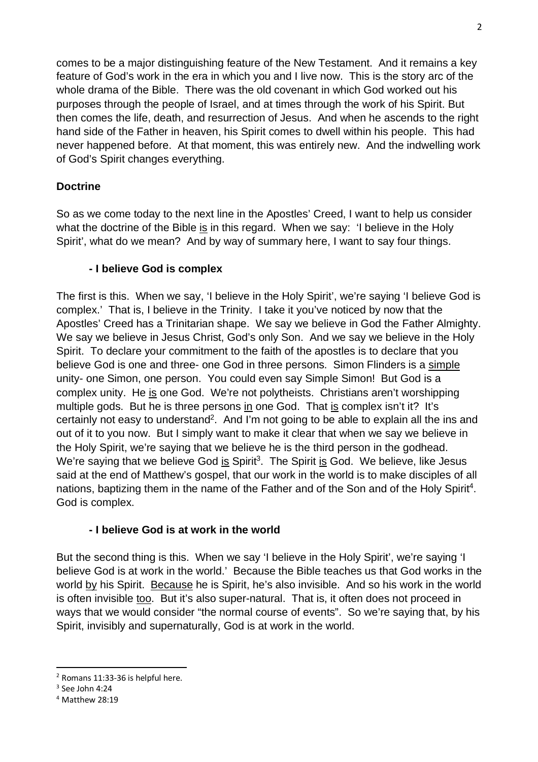comes to be a major distinguishing feature of the New Testament. And it remains a key feature of God's work in the era in which you and I live now. This is the story arc of the whole drama of the Bible. There was the old covenant in which God worked out his purposes through the people of Israel, and at times through the work of his Spirit. But then comes the life, death, and resurrection of Jesus. And when he ascends to the right hand side of the Father in heaven, his Spirit comes to dwell within his people. This had never happened before. At that moment, this was entirely new. And the indwelling work of God's Spirit changes everything.

### **Doctrine**

So as we come today to the next line in the Apostles' Creed, I want to help us consider what the doctrine of the Bible is in this regard. When we say: 'I believe in the Holy Spirit', what do we mean? And by way of summary here, I want to say four things.

#### **- I believe God is complex**

The first is this. When we say, 'I believe in the Holy Spirit', we're saying 'I believe God is complex.' That is, I believe in the Trinity. I take it you've noticed by now that the Apostles' Creed has a Trinitarian shape. We say we believe in God the Father Almighty. We say we believe in Jesus Christ, God's only Son. And we say we believe in the Holy Spirit. To declare your commitment to the faith of the apostles is to declare that you believe God is one and three- one God in three persons. Simon Flinders is a simple unity- one Simon, one person. You could even say Simple Simon! But God is a complex unity. He is one God. We're not polytheists. Christians aren't worshipping multiple gods. But he is three persons in one God. That is complex isn't it? It's certainly not easy to understand<sup>2</sup>. And I'm not going to be able to explain all the ins and out of it to you now. But I simply want to make it clear that when we say we believe in the Holy Spirit, we're saying that we believe he is the third person in the godhead. We're saying that we believe God is Spirit<sup>3</sup>. The Spirit is God. We believe, like Jesus said at the end of Matthew's gospel, that our work in the world is to make disciples of all nations, baptizing them in the name of the Father and of the Son and of the Holy Spirit<sup>4</sup>. God is complex.

#### **- I believe God is at work in the world**

But the second thing is this. When we say 'I believe in the Holy Spirit', we're saying 'I believe God is at work in the world.' Because the Bible teaches us that God works in the world by his Spirit. Because he is Spirit, he's also invisible. And so his work in the world is often invisible too. But it's also super-natural. That is, it often does not proceed in ways that we would consider "the normal course of events". So we're saying that, by his Spirit, invisibly and supernaturally, God is at work in the world.

 $2$  Romans 11:33-36 is helpful here.

<sup>3</sup> See John 4:24

<sup>4</sup> Matthew 28:19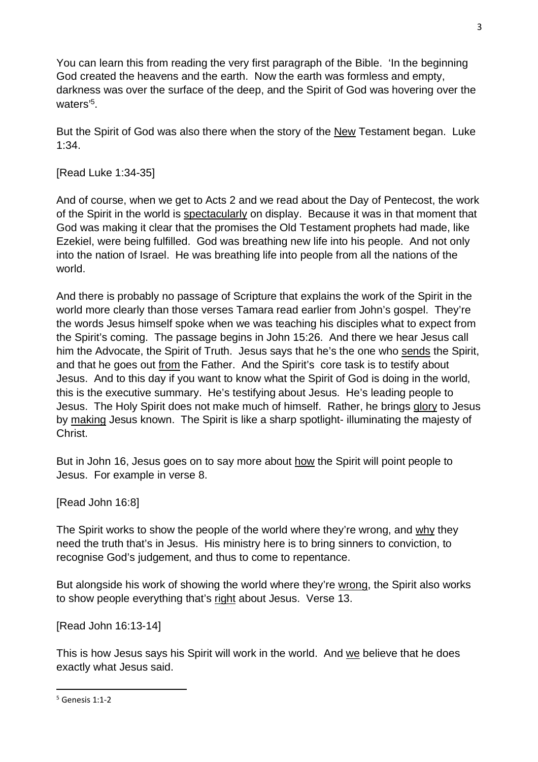You can learn this from reading the very first paragraph of the Bible. 'In the beginning God created the heavens and the earth. Now the earth was formless and empty, darkness was over the surface of the deep, and the Spirit of God was hovering over the waters<sup>'5</sup>.

But the Spirit of God was also there when the story of the New Testament began. Luke 1:34.

[Read Luke 1:34-35]

And of course, when we get to Acts 2 and we read about the Day of Pentecost, the work of the Spirit in the world is spectacularly on display. Because it was in that moment that God was making it clear that the promises the Old Testament prophets had made, like Ezekiel, were being fulfilled. God was breathing new life into his people. And not only into the nation of Israel. He was breathing life into people from all the nations of the world.

And there is probably no passage of Scripture that explains the work of the Spirit in the world more clearly than those verses Tamara read earlier from John's gospel. They're the words Jesus himself spoke when we was teaching his disciples what to expect from the Spirit's coming. The passage begins in John 15:26. And there we hear Jesus call him the Advocate, the Spirit of Truth. Jesus says that he's the one who sends the Spirit, and that he goes out from the Father. And the Spirit's core task is to testify about Jesus. And to this day if you want to know what the Spirit of God is doing in the world, this is the executive summary. He's testifying about Jesus. He's leading people to Jesus. The Holy Spirit does not make much of himself. Rather, he brings glory to Jesus by making Jesus known. The Spirit is like a sharp spotlight- illuminating the majesty of Christ.

But in John 16, Jesus goes on to say more about how the Spirit will point people to Jesus. For example in verse 8.

[Read John 16:8]

The Spirit works to show the people of the world where they're wrong, and why they need the truth that's in Jesus. His ministry here is to bring sinners to conviction, to recognise God's judgement, and thus to come to repentance.

But alongside his work of showing the world where they're wrong, the Spirit also works to show people everything that's right about Jesus. Verse 13.

[Read John 16:13-14]

This is how Jesus says his Spirit will work in the world. And we believe that he does exactly what Jesus said.

<sup>5</sup> Genesis 1:1-2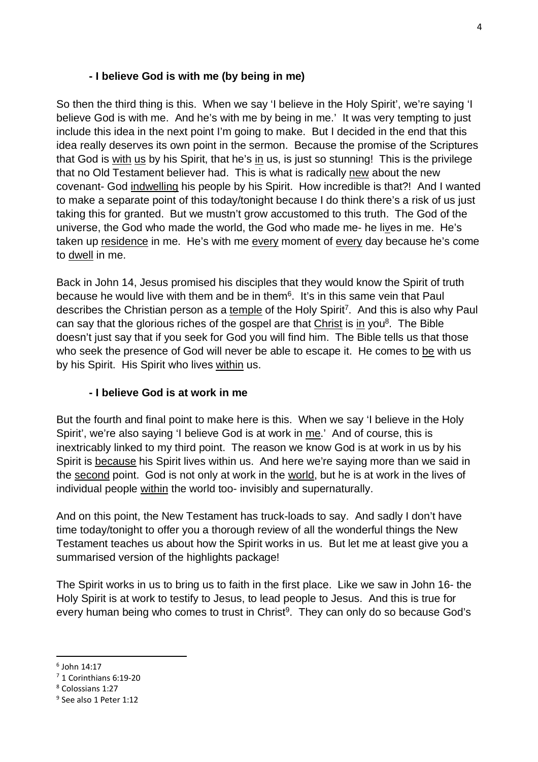#### **- I believe God is with me (by being in me)**

So then the third thing is this. When we say 'I believe in the Holy Spirit', we're saying 'I believe God is with me. And he's with me by being in me.' It was very tempting to just include this idea in the next point I'm going to make. But I decided in the end that this idea really deserves its own point in the sermon. Because the promise of the Scriptures that God is with us by his Spirit, that he's in us, is just so stunning! This is the privilege that no Old Testament believer had. This is what is radically new about the new covenant- God indwelling his people by his Spirit. How incredible is that?! And I wanted to make a separate point of this today/tonight because I do think there's a risk of us just taking this for granted. But we mustn't grow accustomed to this truth. The God of the universe, the God who made the world, the God who made me- he lives in me. He's taken up residence in me. He's with me every moment of every day because he's come to dwell in me.

Back in John 14, Jesus promised his disciples that they would know the Spirit of truth because he would live with them and be in them<sup>6</sup>. It's in this same vein that Paul describes the Christian person as a temple of the Holy Spirit<sup>7</sup>. And this is also why Paul can say that the glorious riches of the gospel are that Christ is in you<sup>8</sup>. The Bible doesn't just say that if you seek for God you will find him. The Bible tells us that those who seek the presence of God will never be able to escape it. He comes to be with us by his Spirit. His Spirit who lives within us.

#### **- I believe God is at work in me**

But the fourth and final point to make here is this. When we say 'I believe in the Holy Spirit', we're also saying 'I believe God is at work in me.' And of course, this is inextricably linked to my third point. The reason we know God is at work in us by his Spirit is because his Spirit lives within us. And here we're saying more than we said in the second point. God is not only at work in the world, but he is at work in the lives of individual people within the world too- invisibly and supernaturally.

And on this point, the New Testament has truck-loads to say. And sadly I don't have time today/tonight to offer you a thorough review of all the wonderful things the New Testament teaches us about how the Spirit works in us. But let me at least give you a summarised version of the highlights package!

The Spirit works in us to bring us to faith in the first place. Like we saw in John 16- the Holy Spirit is at work to testify to Jesus, to lead people to Jesus. And this is true for every human being who comes to trust in Christ $9$ . They can only do so because God's

8 Colossians 1:27

<sup>6</sup> John 14:17

 $<sup>7</sup>$  1 Corinthians 6:19-20</sup>

<sup>&</sup>lt;sup>9</sup> See also 1 Peter 1:12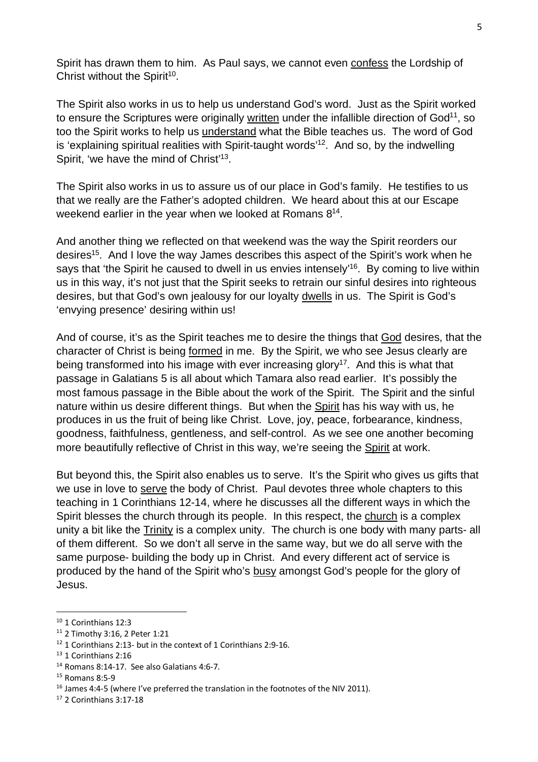Spirit has drawn them to him. As Paul says, we cannot even confess the Lordship of Christ without the Spirit<sup>10</sup>.

The Spirit also works in us to help us understand God's word. Just as the Spirit worked to ensure the Scriptures were originally written under the infallible direction of  $God<sup>11</sup>$ , so too the Spirit works to help us understand what the Bible teaches us. The word of God is 'explaining spiritual realities with Spirit-taught words<sup>'12</sup>. And so, by the indwelling Spirit, 'we have the mind of Christ'<sup>13</sup>.

The Spirit also works in us to assure us of our place in God's family. He testifies to us that we really are the Father's adopted children. We heard about this at our Escape weekend earlier in the year when we looked at Romans 8<sup>14</sup>.

And another thing we reflected on that weekend was the way the Spirit reorders our desires<sup>15</sup>. And I love the way James describes this aspect of the Spirit's work when he says that 'the Spirit he caused to dwell in us envies intensely'<sup>16</sup>. By coming to live within us in this way, it's not just that the Spirit seeks to retrain our sinful desires into righteous desires, but that God's own jealousy for our loyalty dwells in us. The Spirit is God's 'envying presence' desiring within us!

And of course, it's as the Spirit teaches me to desire the things that God desires, that the character of Christ is being formed in me. By the Spirit, we who see Jesus clearly are being transformed into his image with ever increasing glory<sup>17</sup>. And this is what that passage in Galatians 5 is all about which Tamara also read earlier. It's possibly the most famous passage in the Bible about the work of the Spirit. The Spirit and the sinful nature within us desire different things. But when the Spirit has his way with us, he produces in us the fruit of being like Christ. Love, joy, peace, forbearance, kindness, goodness, faithfulness, gentleness, and self-control. As we see one another becoming more beautifully reflective of Christ in this way, we're seeing the Spirit at work.

But beyond this, the Spirit also enables us to serve. It's the Spirit who gives us gifts that we use in love to serve the body of Christ. Paul devotes three whole chapters to this teaching in 1 Corinthians 12-14, where he discusses all the different ways in which the Spirit blesses the church through its people. In this respect, the church is a complex unity a bit like the Trinity is a complex unity. The church is one body with many parts- all of them different. So we don't all serve in the same way, but we do all serve with the same purpose- building the body up in Christ. And every different act of service is produced by the hand of the Spirit who's busy amongst God's people for the glory of Jesus.

<sup>&</sup>lt;sup>10</sup> 1 Corinthians 12:3

<sup>11 2</sup> Timothy 3:16, 2 Peter 1:21

<sup>&</sup>lt;sup>12</sup> 1 Corinthians 2:13- but in the context of 1 Corinthians 2:9-16.

<sup>&</sup>lt;sup>13</sup> 1 Corinthians 2:16

 $14$  Romans 8:14-17. See also Galatians 4:6-7.

<sup>15</sup> Romans 8:5-9

<sup>&</sup>lt;sup>16</sup> James 4:4-5 (where I've preferred the translation in the footnotes of the NIV 2011).

<sup>17 2</sup> Corinthians 3:17-18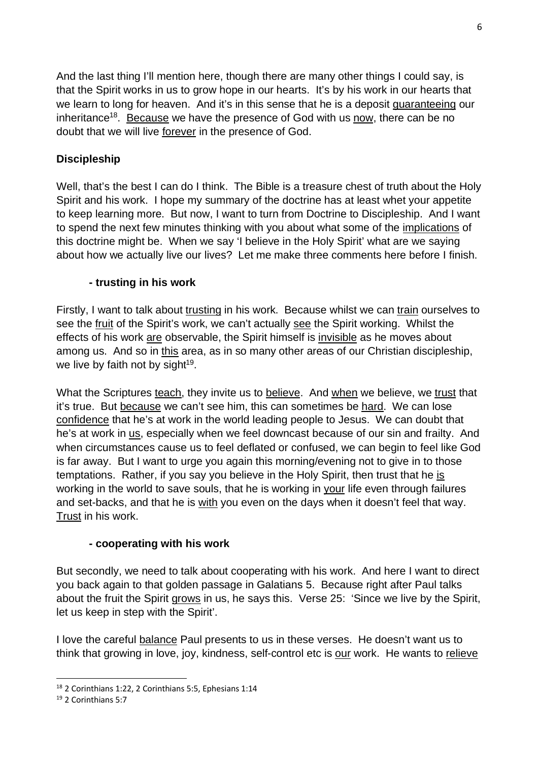And the last thing I'll mention here, though there are many other things I could say, is that the Spirit works in us to grow hope in our hearts. It's by his work in our hearts that we learn to long for heaven. And it's in this sense that he is a deposit guaranteeing our inheritance18. Because we have the presence of God with us now, there can be no doubt that we will live forever in the presence of God.

# **Discipleship**

Well, that's the best I can do I think. The Bible is a treasure chest of truth about the Holy Spirit and his work. I hope my summary of the doctrine has at least whet your appetite to keep learning more. But now, I want to turn from Doctrine to Discipleship. And I want to spend the next few minutes thinking with you about what some of the implications of this doctrine might be. When we say 'I believe in the Holy Spirit' what are we saying about how we actually live our lives? Let me make three comments here before I finish.

## **- trusting in his work**

Firstly, I want to talk about trusting in his work. Because whilst we can train ourselves to see the fruit of the Spirit's work, we can't actually see the Spirit working. Whilst the effects of his work are observable, the Spirit himself is invisible as he moves about among us. And so in this area, as in so many other areas of our Christian discipleship, we live by faith not by sight $19$ .

What the Scriptures teach, they invite us to believe. And when we believe, we trust that it's true. But because we can't see him, this can sometimes be hard. We can lose confidence that he's at work in the world leading people to Jesus. We can doubt that he's at work in us, especially when we feel downcast because of our sin and frailty. And when circumstances cause us to feel deflated or confused, we can begin to feel like God is far away. But I want to urge you again this morning/evening not to give in to those temptations. Rather, if you say you believe in the Holy Spirit, then trust that he is working in the world to save souls, that he is working in your life even through failures and set-backs, and that he is with you even on the days when it doesn't feel that way. Trust in his work.

#### **- cooperating with his work**

But secondly, we need to talk about cooperating with his work. And here I want to direct you back again to that golden passage in Galatians 5. Because right after Paul talks about the fruit the Spirit grows in us, he says this. Verse 25: 'Since we live by the Spirit, let us keep in step with the Spirit'.

I love the careful balance Paul presents to us in these verses. He doesn't want us to think that growing in love, joy, kindness, self-control etc is our work. He wants to relieve

<sup>18 2</sup> Corinthians 1:22, 2 Corinthians 5:5, Ephesians 1:14

<sup>19 2</sup> Corinthians 5:7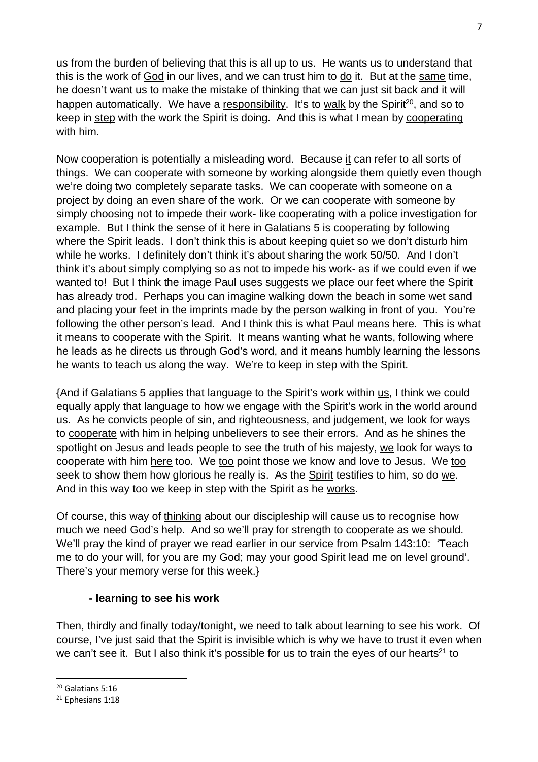us from the burden of believing that this is all up to us. He wants us to understand that this is the work of God in our lives, and we can trust him to do it. But at the same time, he doesn't want us to make the mistake of thinking that we can just sit back and it will happen automatically. We have a responsibility. It's to walk by the Spirit<sup>20</sup>, and so to keep in step with the work the Spirit is doing. And this is what I mean by cooperating with him.

Now cooperation is potentially a misleading word. Because it can refer to all sorts of things. We can cooperate with someone by working alongside them quietly even though we're doing two completely separate tasks. We can cooperate with someone on a project by doing an even share of the work. Or we can cooperate with someone by simply choosing not to impede their work- like cooperating with a police investigation for example. But I think the sense of it here in Galatians 5 is cooperating by following where the Spirit leads. I don't think this is about keeping quiet so we don't disturb him while he works. I definitely don't think it's about sharing the work 50/50. And I don't think it's about simply complying so as not to impede his work- as if we could even if we wanted to! But I think the image Paul uses suggests we place our feet where the Spirit has already trod. Perhaps you can imagine walking down the beach in some wet sand and placing your feet in the imprints made by the person walking in front of you. You're following the other person's lead. And I think this is what Paul means here. This is what it means to cooperate with the Spirit. It means wanting what he wants, following where he leads as he directs us through God's word, and it means humbly learning the lessons he wants to teach us along the way. We're to keep in step with the Spirit.

{And if Galatians 5 applies that language to the Spirit's work within us, I think we could equally apply that language to how we engage with the Spirit's work in the world around us. As he convicts people of sin, and righteousness, and judgement, we look for ways to cooperate with him in helping unbelievers to see their errors. And as he shines the spotlight on Jesus and leads people to see the truth of his majesty, we look for ways to cooperate with him here too. We too point those we know and love to Jesus. We too seek to show them how glorious he really is. As the Spirit testifies to him, so do we. And in this way too we keep in step with the Spirit as he works.

Of course, this way of thinking about our discipleship will cause us to recognise how much we need God's help. And so we'll pray for strength to cooperate as we should. We'll pray the kind of prayer we read earlier in our service from Psalm 143:10: 'Teach me to do your will, for you are my God; may your good Spirit lead me on level ground'. There's your memory verse for this week.}

#### **- learning to see his work**

Then, thirdly and finally today/tonight, we need to talk about learning to see his work. Of course, I've just said that the Spirit is invisible which is why we have to trust it even when we can't see it. But I also think it's possible for us to train the eyes of our hearts<sup>21</sup> to

<sup>20</sup> Galatians 5:16

<sup>&</sup>lt;sup>21</sup> Ephesians 1:18